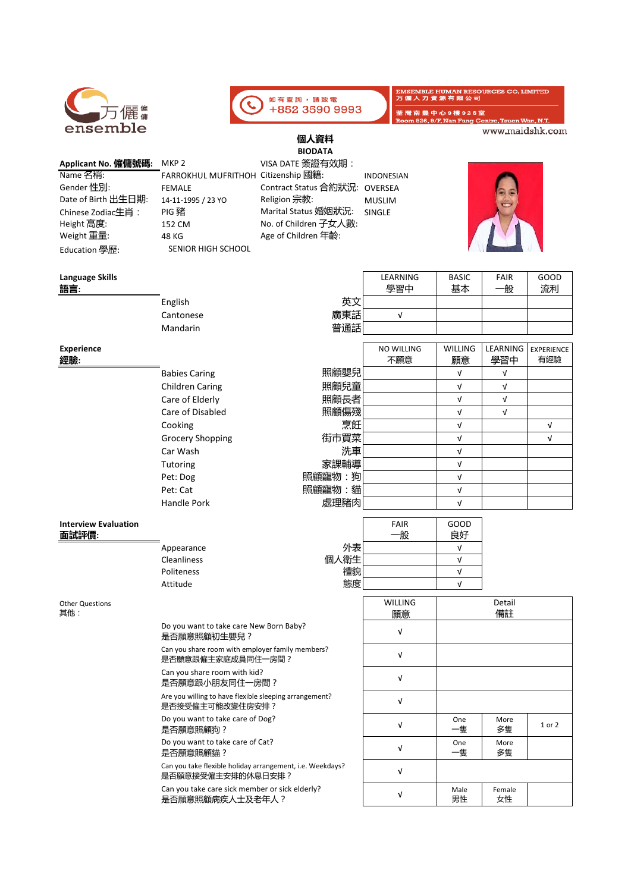| 儷                               |                                                                                | 如有查詢,請致電<br>+852 3590 9993 |                              | <b>EMSEMBLE HUMAN RESOURCES CO. LIMITED</b><br>万偏人力資源有限公司<br>荃灣南豐中心9樓926室 |                 |                   |
|---------------------------------|--------------------------------------------------------------------------------|----------------------------|------------------------------|---------------------------------------------------------------------------|-----------------|-------------------|
| ensemble                        |                                                                                |                            |                              | Room 926, 9/F, Nan Fung Centre, Tsuen Wan, N.T.                           | www.maidshk.com |                   |
|                                 |                                                                                | 個人資料                       |                              |                                                                           |                 |                   |
|                                 |                                                                                | <b>BIODATA</b>             |                              |                                                                           |                 |                   |
| Applicant No. 僱傭號碼:<br>Name 名稱: | MKP <sub>2</sub><br>FARROKHUL MUFRITHOH Citizenship 國籍:                        | VISA DATE 簽證有效期:           |                              |                                                                           |                 |                   |
| Gender 性別:                      | <b>FEMALE</b>                                                                  | Contract Status 合約狀況:      | <b>INDONESIAN</b><br>OVERSEA |                                                                           |                 |                   |
| Date of Birth 出生日期:             | 14-11-1995 / 23 YO                                                             | Religion 宗教:               | <b>MUSLIM</b>                |                                                                           |                 |                   |
| Chinese Zodiac生肖:               | PIG 豬                                                                          | Marital Status 婚姻狀況:       | <b>SINGLE</b>                |                                                                           |                 |                   |
| Height 高度:                      | 152 CM                                                                         | No. of Children 子女人數:      |                              |                                                                           |                 |                   |
| Weight 重量:                      | 48 KG                                                                          | Age of Children 年齡:        |                              |                                                                           |                 |                   |
| Education 學歷:                   | SENIOR HIGH SCHOOL                                                             |                            |                              |                                                                           |                 |                   |
| <b>Language Skills</b>          |                                                                                |                            | LEARNING                     | <b>BASIC</b>                                                              | <b>FAIR</b>     | GOOD              |
| <u>語言:</u>                      |                                                                                |                            | 學習中                          | 基本                                                                        | 一般              | 流利                |
|                                 | English                                                                        | 英文                         |                              |                                                                           |                 |                   |
|                                 | Cantonese                                                                      | 廣東話                        | $\sqrt{ }$                   |                                                                           |                 |                   |
|                                 | Mandarin                                                                       | 普通話                        |                              |                                                                           |                 |                   |
| Experience                      |                                                                                |                            | <b>NO WILLING</b>            | <b>WILLING</b>                                                            | LEARNING        | <b>EXPERIENCE</b> |
| 經驗:                             |                                                                                |                            | 不願意                          | 願意                                                                        | 學習中             | 有經驗               |
|                                 | <b>Babies Caring</b>                                                           | 照顧嬰兒                       |                              | $\sqrt{ }$                                                                | V               |                   |
|                                 | <b>Children Caring</b>                                                         | 照顧兒童                       |                              | $\sqrt{ }$                                                                | $\sqrt{ }$      |                   |
|                                 | Care of Elderly                                                                | 照顧長者                       |                              | $\sqrt{ }$                                                                | $\sqrt{ }$      |                   |
|                                 | Care of Disabled                                                               | 照顧傷殘                       |                              | $\sqrt{ }$                                                                | V               |                   |
|                                 | Cooking                                                                        | 烹飪                         |                              | $\sqrt{ }$                                                                |                 | $\sqrt{ }$        |
|                                 | <b>Grocery Shopping</b>                                                        | 街市買菜                       |                              | $\sqrt{ }$                                                                |                 | $\sqrt{ }$        |
|                                 | Car Wash                                                                       | 洗車                         |                              | $\sqrt{ }$                                                                |                 |                   |
|                                 | Tutoring                                                                       | 家課輔導                       |                              | $\sqrt{ }$                                                                |                 |                   |
|                                 | Pet: Dog                                                                       | 照顧寵物:狗                     |                              | $\sqrt{ }$                                                                |                 |                   |
|                                 | Pet: Cat                                                                       | 照顧寵物:貓                     |                              | $\sqrt{ }$                                                                |                 |                   |
|                                 | Handle Pork                                                                    | 處理豬肉                       |                              | $\sqrt{ }$                                                                |                 |                   |
| <b>Interview Evaluation</b>     |                                                                                |                            | <b>FAIR</b>                  | GOOD                                                                      |                 |                   |
| 面試評價:                           |                                                                                |                            | 般                            | 良好                                                                        |                 |                   |
|                                 | Appearance                                                                     | 外表                         |                              | $\sqrt{ }$                                                                |                 |                   |
|                                 | Cleanliness                                                                    | 個人衛生                       |                              | $\sqrt{ }$                                                                |                 |                   |
|                                 | Politeness                                                                     | 禮貌                         |                              | $\sqrt{ }$                                                                |                 |                   |
|                                 | Attitude                                                                       | 態度                         |                              | V                                                                         |                 |                   |
| <b>Other Questions</b><br>其他:   |                                                                                |                            | <b>WILLING</b><br>願意         | Detail<br>備註                                                              |                 |                   |
|                                 | Do you want to take care New Born Baby?<br>是否願意照顧初生嬰兒?                         |                            | $\sqrt{ }$                   |                                                                           |                 |                   |
|                                 | Can you share room with employer family members?<br>是否願意跟僱主家庭成員同住一房間?          |                            | $\sqrt{ }$                   |                                                                           |                 |                   |
|                                 | Can you share room with kid?<br>是否願意跟小朋友同住一房間?                                 |                            | V                            |                                                                           |                 |                   |
|                                 | Are you willing to have flexible sleeping arrangement?<br>是否接受僱主可能改變住房安排?      |                            | $\sqrt{ }$                   |                                                                           |                 |                   |
|                                 | Do you want to take care of Dog?<br>是否願意照顧狗?                                   |                            | $\sqrt{ }$                   | One<br>一隻                                                                 | More<br>多隻      | 1 or 2            |
|                                 | Do you want to take care of Cat?<br>是否願意照顧貓?                                   |                            | Λ                            | One<br>一隻                                                                 | More<br>多隻      |                   |
|                                 | Can you take flexible holiday arrangement, i.e. Weekdays?<br>是否願意接受僱主安排的休息日安排? |                            | V                            |                                                                           |                 |                   |
|                                 | Can you take care sick member or sick elderly?<br>是否願意照顧病疾人士及老年人?              |                            | $\sqrt{ }$                   | Male<br>男性                                                                | Female<br>女性    |                   |